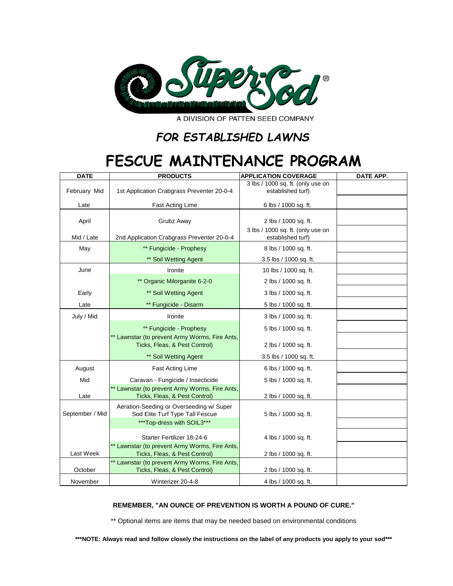

A DIVISION OF PATTEN SEED COMPANY

## *FOR ESTABLISHED LAWNS*

## **FESCUE MAINTENANCE PROGRAM**

| <b>DATE</b>     | <b>PRODUCTS</b>                                                                 | <b>APPLICATION COVERAGE</b>                            | <b>DATE APP.</b> |
|-----------------|---------------------------------------------------------------------------------|--------------------------------------------------------|------------------|
| February Mid    | 1st Application Crabgrass Preventer 20-0-4                                      | 3 lbs / 1000 sq. ft. (only use on<br>established turf) |                  |
| Late            | Fast Acting Lime                                                                | 6 lbs / 1000 sq. ft.                                   |                  |
| April           | Grubz Away                                                                      | 2 lbs / 1000 sq. ft.                                   |                  |
| Mid / Late      | 2nd Application Crabgrass Preventer 20-0-4                                      | 3 lbs / 1000 sq. ft. (only use on<br>established turf) |                  |
| May             | ** Fungicide - Prophesy                                                         | 8 lbs / 1000 sq. ft.                                   |                  |
|                 | ** Soil Wetting Agent                                                           | 3.5 lbs / 1000 sq. ft.                                 |                  |
| June            | Ironite                                                                         | 10 lbs / 1000 sq. ft.                                  |                  |
|                 | ** Organic Milorganite 6-2-0                                                    | 2 lbs / 1000 sq. ft.                                   |                  |
| Early           | ** Soil Wetting Agent                                                           | 3 lbs / 1000 sq. ft.                                   |                  |
| Late            | ** Fungicide - Disarm                                                           | 5 lbs / 1000 sq. ft.                                   |                  |
| July / Mid      | Ironite                                                                         | 3 lbs / 1000 sq. ft.                                   |                  |
|                 | ** Fungicide - Prophesy                                                         | 5 lbs / 1000 sq. ft.                                   |                  |
|                 | ** Lawnstar (to prevent Army Worms, Fire Ants,<br>Ticks, Fleas, & Pest Control) | 2 lbs / 1000 sq. ft.                                   |                  |
|                 | ** Soil Wetting Agent                                                           | 3.5 lbs / 1000 sq. ft.                                 |                  |
| August          | <b>Fast Acting Lime</b>                                                         | 6 lbs / 1000 sq. ft.                                   |                  |
| Mid             | Caravan - Fungicide / Insecticide                                               | 5 lbs / 1000 sq. ft.                                   |                  |
| Late            | ** Lawnstar (to prevent Army Worms, Fire Ants,<br>Ticks, Fleas, & Pest Control) | 2 lbs / 1000 sq. ft.                                   |                  |
| September / Mid | Aeration-Seeding or Overseeding w/ Super<br>Sod Elite Turf Type Tall Fescue     | 5 lbs / 1000 sq. ft.                                   |                  |
|                 | ***Top-dress with SOIL3***                                                      |                                                        |                  |
|                 | Starter Fertilizer 18-24-6                                                      | 4 lbs / 1000 sq. ft.                                   |                  |
| Last Week       | ** Lawnstar (to prevent Army Worms, Fire Ants,<br>Ticks, Fleas, & Pest Control) | 2 lbs / 1000 sq. ft.                                   |                  |
|                 | ** Lawnstar (to prevent Army Worms, Fire Ants,                                  |                                                        |                  |
| October         | Ticks, Fleas, & Pest Control)                                                   | 2 lbs / 1000 sq. ft.                                   |                  |
| November        | Winterizer 20-4-8                                                               | 4 lbs / 1000 sq. ft.                                   |                  |

## **REMEMBER, "AN OUNCE OF PREVENTION IS WORTH A POUND OF CURE."**

\*\* Optional items are items that may be needed based on environmental conditions

**\*\*\*NOTE: Always read and follow closely the instructions on the label of any products you apply to your sod\*\*\***